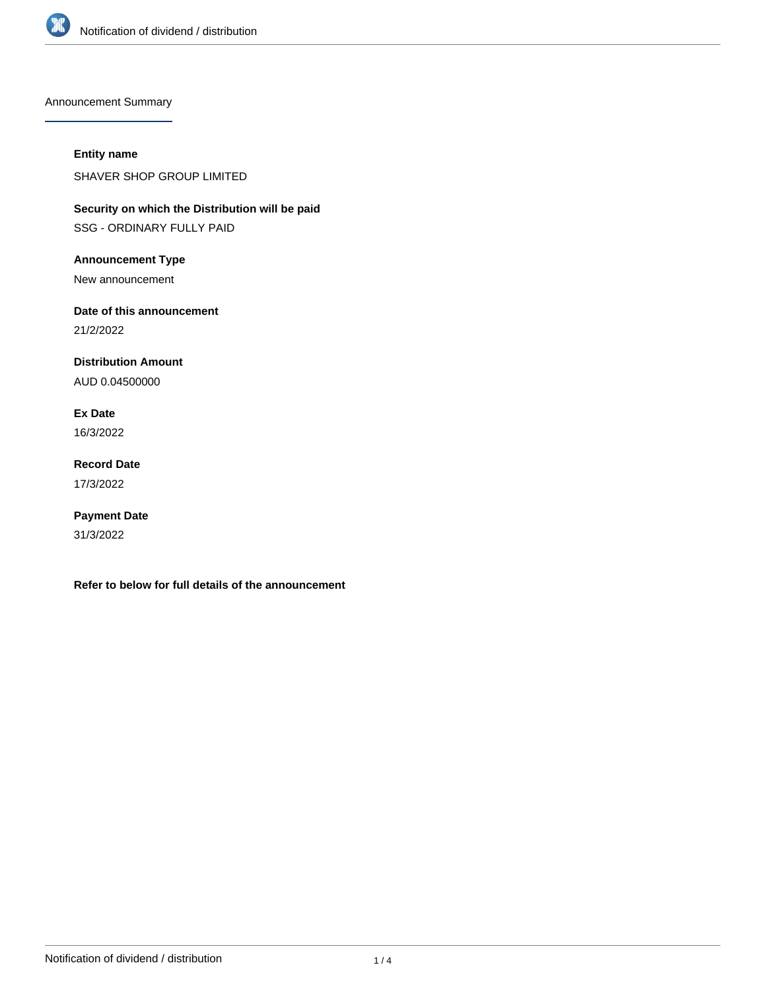

Announcement Summary

## **Entity name**

SHAVER SHOP GROUP LIMITED

**Security on which the Distribution will be paid** SSG - ORDINARY FULLY PAID

**Announcement Type**

New announcement

**Date of this announcement**

21/2/2022

**Distribution Amount**

AUD 0.04500000

**Ex Date** 16/3/2022

**Record Date** 17/3/2022

**Payment Date** 31/3/2022

**Refer to below for full details of the announcement**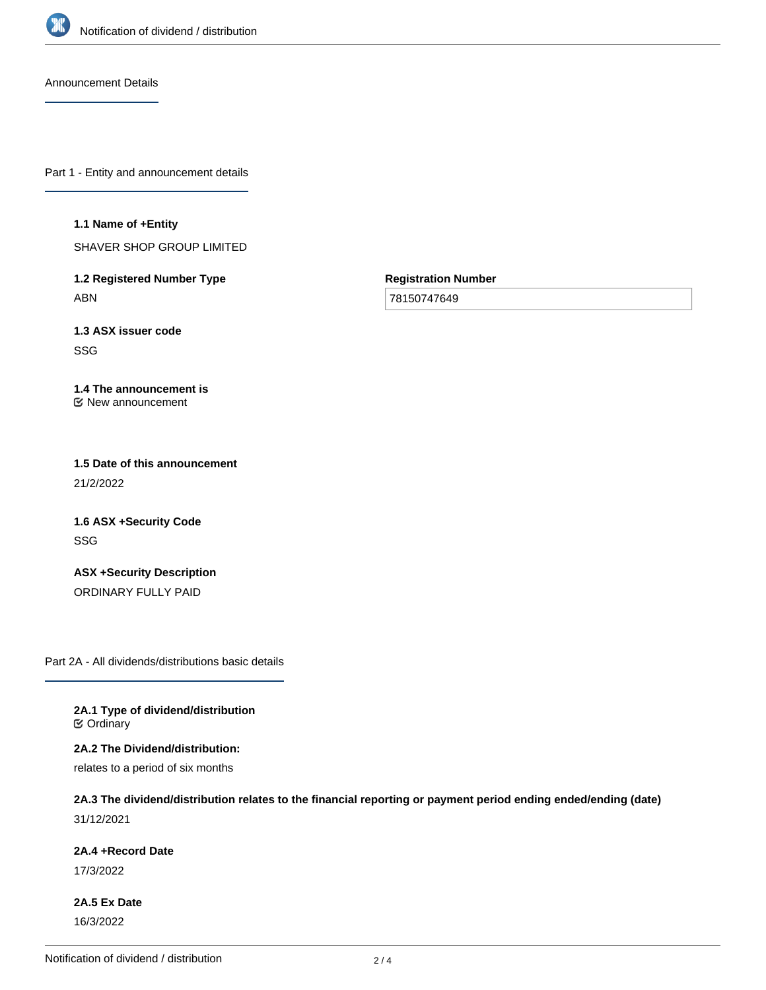

Announcement Details

Part 1 - Entity and announcement details

#### **1.1 Name of +Entity**

SHAVER SHOP GROUP LIMITED

**1.2 Registered Number Type** ABN

**Registration Number**

78150747649

**1.3 ASX issuer code** SSG

### **1.4 The announcement is** New announcement

**1.5 Date of this announcement** 21/2/2022

**1.6 ASX +Security Code** SSG

**ASX +Security Description** ORDINARY FULLY PAID

Part 2A - All dividends/distributions basic details

**2A.1 Type of dividend/distribution C** Ordinary

**2A.2 The Dividend/distribution:**

relates to a period of six months

# **2A.3 The dividend/distribution relates to the financial reporting or payment period ending ended/ending (date)**

31/12/2021

## **2A.4 +Record Date**

17/3/2022

**2A.5 Ex Date** 16/3/2022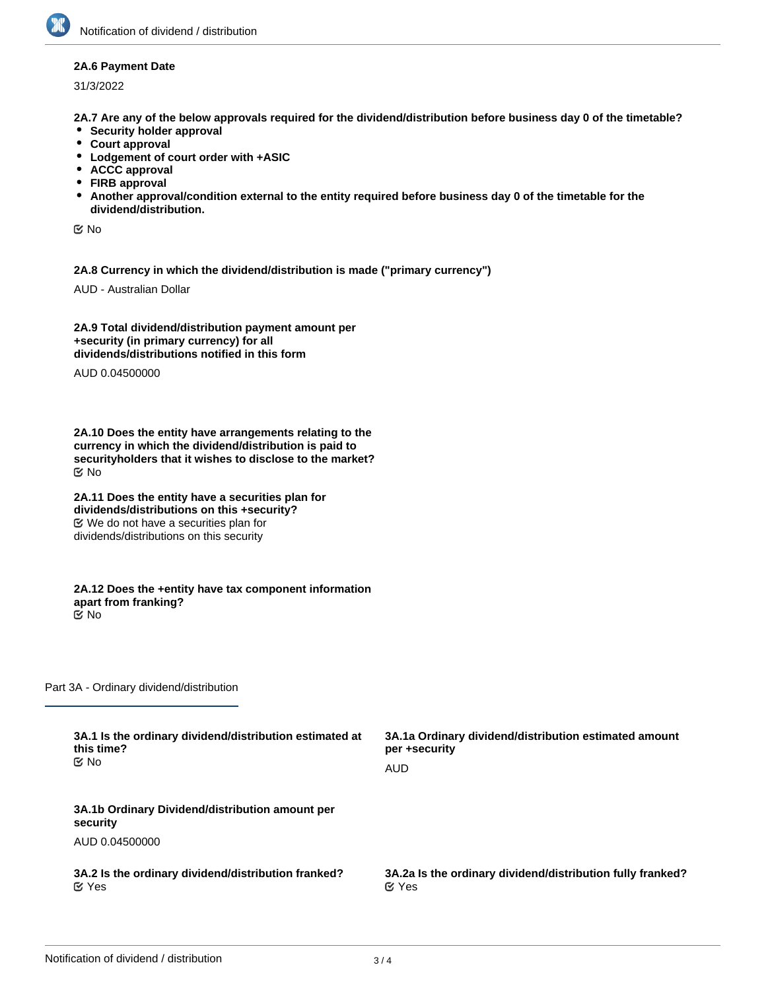### **2A.6 Payment Date**

31/3/2022

**2A.7 Are any of the below approvals required for the dividend/distribution before business day 0 of the timetable?**

- **•** Security holder approval
- **Court approval**
- **Lodgement of court order with +ASIC**
- **ACCC approval**
- **FIRB approval**
- **Another approval/condition external to the entity required before business day 0 of the timetable for the dividend/distribution.**

No

**2A.8 Currency in which the dividend/distribution is made ("primary currency")**

AUD - Australian Dollar

**2A.9 Total dividend/distribution payment amount per +security (in primary currency) for all dividends/distributions notified in this form**

AUD 0.04500000

**2A.10 Does the entity have arrangements relating to the currency in which the dividend/distribution is paid to securityholders that it wishes to disclose to the market?** No

**2A.11 Does the entity have a securities plan for dividends/distributions on this +security?** We do not have a securities plan for dividends/distributions on this security

**2A.12 Does the +entity have tax component information apart from franking?** No

Part 3A - Ordinary dividend/distribution

| 3A.1 Is the ordinary dividend/distribution estimated at     | 3A.1a Ordinary dividend/distribution estimated amount      |
|-------------------------------------------------------------|------------------------------------------------------------|
| this time?                                                  | per +security                                              |
| <b>≝</b> No                                                 | AUD                                                        |
| 3A.1b Ordinary Dividend/distribution amount per<br>security |                                                            |
| AUD 0.04500000                                              |                                                            |
| 3A.2 Is the ordinary dividend/distribution franked?         | 3A.2a Is the ordinary dividend/distribution fully franked? |
| $\alpha$ Yes                                                | $\alpha$ Yes                                               |